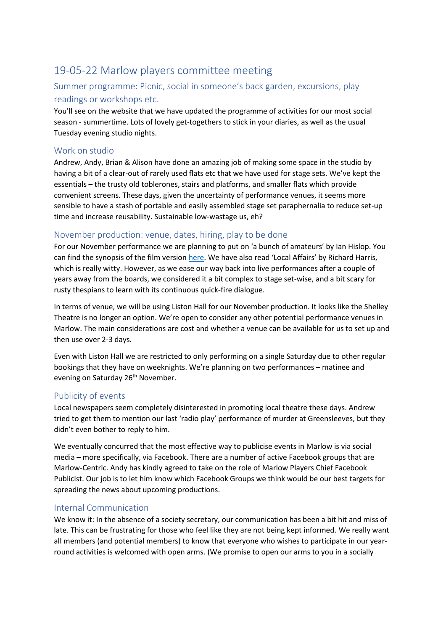# 19-05-22 Marlow players committee meeting

## Summer programme: Picnic, social in someone's back garden, excursions, play readings or workshops etc.

You'll see on the website that we have updated the programme of activities for our most social season - summertime. Lots of lovely get-togethers to stick in your diaries, as well as the usual Tuesday evening studio nights.

## Work on studio

Andrew, Andy, Brian & Alison have done an amazing job of making some space in the studio by having a bit of a clear-out of rarely used flats etc that we have used for stage sets. We've kept the essentials – the trusty old toblerones, stairs and platforms, and smaller flats which provide convenient screens. These days, given the uncertainty of performance venues, it seems more sensible to have a stash of portable and easily assembled stage set paraphernalia to reduce set-up time and increase reusability. Sustainable low-wastage us, eh?

## November production: venue, dates, hiring, play to be done

For our November performance we are planning to put on 'a bunch of amateurs' by Ian Hislop. You can find the synopsis of the film versio[n here.](https://en.wikipedia.org/wiki/A_Bunch_of_Amateurs) We have also read 'Local Affairs' by Richard Harris, which is really witty. However, as we ease our way back into live performances after a couple of years away from the boards, we considered it a bit complex to stage set-wise, and a bit scary for rusty thespians to learn with its continuous quick-fire dialogue.

In terms of venue, we will be using Liston Hall for our November production. It looks like the Shelley Theatre is no longer an option. We're open to consider any other potential performance venues in Marlow. The main considerations are cost and whether a venue can be available for us to set up and then use over 2-3 days.

Even with Liston Hall we are restricted to only performing on a single Saturday due to other regular bookings that they have on weeknights. We're planning on two performances – matinee and evening on Saturday 26<sup>th</sup> November.

## Publicity of events

Local newspapers seem completely disinterested in promoting local theatre these days. Andrew tried to get them to mention our last 'radio play' performance of murder at Greensleeves, but they didn't even bother to reply to him.

We eventually concurred that the most effective way to publicise events in Marlow is via social media – more specifically, via Facebook. There are a number of active Facebook groups that are Marlow-Centric. Andy has kindly agreed to take on the role of Marlow Players Chief Facebook Publicist. Our job is to let him know which Facebook Groups we think would be our best targets for spreading the news about upcoming productions.

## Internal Communication

We know it: In the absence of a society secretary, our communication has been a bit hit and miss of late. This can be frustrating for those who feel like they are not being kept informed. We really want all members (and potential members) to know that everyone who wishes to participate in our yearround activities is welcomed with open arms. (We promise to open our arms to you in a socially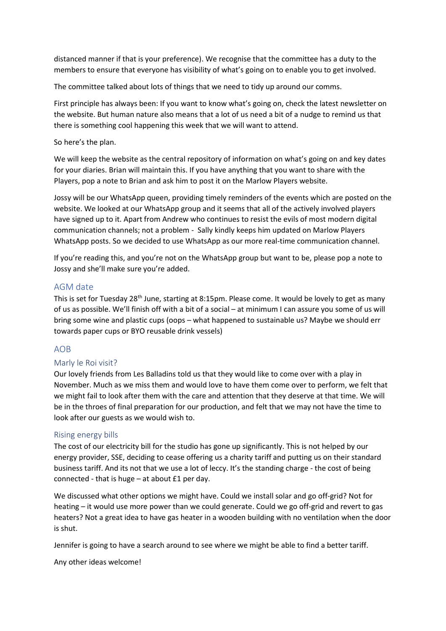distanced manner if that is your preference). We recognise that the committee has a duty to the members to ensure that everyone has visibility of what's going on to enable you to get involved.

The committee talked about lots of things that we need to tidy up around our comms.

First principle has always been: If you want to know what's going on, check the latest newsletter on the website. But human nature also means that a lot of us need a bit of a nudge to remind us that there is something cool happening this week that we will want to attend.

So here's the plan.

We will keep the website as the central repository of information on what's going on and key dates for your diaries. Brian will maintain this. If you have anything that you want to share with the Players, pop a note to Brian and ask him to post it on the Marlow Players website.

Jossy will be our WhatsApp queen, providing timely reminders of the events which are posted on the website. We looked at our WhatsApp group and it seems that all of the actively involved players have signed up to it. Apart from Andrew who continues to resist the evils of most modern digital communication channels; not a problem - Sally kindly keeps him updated on Marlow Players WhatsApp posts. So we decided to use WhatsApp as our more real-time communication channel.

If you're reading this, and you're not on the WhatsApp group but want to be, please pop a note to Jossy and she'll make sure you're added.

#### AGM date

This is set for Tuesday 28<sup>th</sup> June, starting at 8:15pm. Please come. It would be lovely to get as many of us as possible. We'll finish off with a bit of a social – at minimum I can assure you some of us will bring some wine and plastic cups (oops – what happened to sustainable us? Maybe we should err towards paper cups or BYO reusable drink vessels)

## AOB

#### Marly le Roi visit?

Our lovely friends from Les Balladins told us that they would like to come over with a play in November. Much as we miss them and would love to have them come over to perform, we felt that we might fail to look after them with the care and attention that they deserve at that time. We will be in the throes of final preparation for our production, and felt that we may not have the time to look after our guests as we would wish to.

#### Rising energy bills

The cost of our electricity bill for the studio has gone up significantly. This is not helped by our energy provider, SSE, deciding to cease offering us a charity tariff and putting us on their standard business tariff. And its not that we use a lot of leccy. It's the standing charge - the cost of being connected - that is huge – at about £1 per day.

We discussed what other options we might have. Could we install solar and go off-grid? Not for heating – it would use more power than we could generate. Could we go off-grid and revert to gas heaters? Not a great idea to have gas heater in a wooden building with no ventilation when the door is shut.

Jennifer is going to have a search around to see where we might be able to find a better tariff.

Any other ideas welcome!